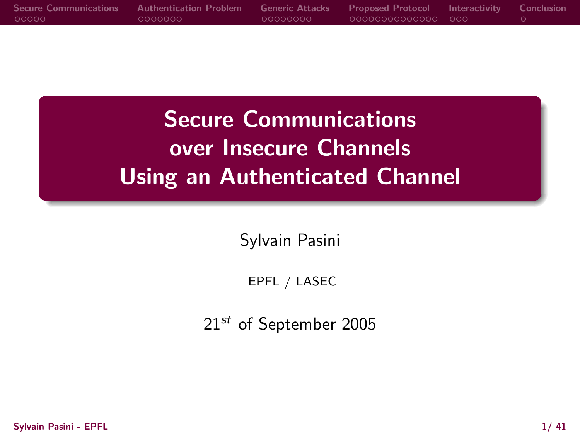|         | Secure Communications Authentication Problem Generic Attacks Proposed Protocol Interactivity Conclusion |           |                    |  |
|---------|---------------------------------------------------------------------------------------------------------|-----------|--------------------|--|
| - റററററ | LOOOOOOO                                                                                                | -00000000 | 00000000000000 000 |  |
|         |                                                                                                         |           |                    |  |

Secure Communications over Insecure Channels Using an Authenticated Channel

Sylvain Pasini

EPFL / LASEC

21<sup>st</sup> of September 2005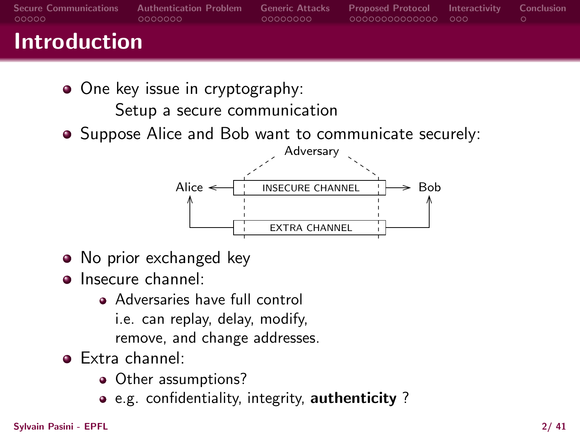| <b>Secure Communications</b><br>looooo | <b>Authentication Problem</b><br>0000000 | <b>Generic Attacks</b><br>-00000000 | <b>Proposed Protocol Interactivity Conclusion</b><br>00000000000000 000 |  |
|----------------------------------------|------------------------------------------|-------------------------------------|-------------------------------------------------------------------------|--|
| <b>Introduction</b>                    |                                          |                                     |                                                                         |  |

- One key issue in cryptography: Setup a secure communication
- Suppose Alice and Bob want to communicate securely:



- No prior exchanged key
- Insecure channel:
	- Adversaries have full control i.e. can replay, delay, modify, remove, and change addresses.
- Extra channel:
	- Other assumptions?
	- e.g. confidentiality, integrity, authenticity ?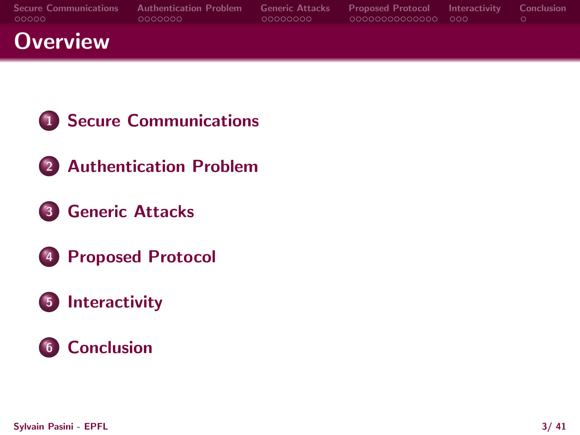| <b>Secure Communications</b><br>looooo | <b>Authentication Problem</b><br>0000000 | <b>Generic Attacks</b><br>-00000000 | <b>Proposed Protocol</b> Interactivity Conclusion<br>looqooqooqooqoo qoq |  |
|----------------------------------------|------------------------------------------|-------------------------------------|--------------------------------------------------------------------------|--|
| <b>Overview</b>                        |                                          |                                     |                                                                          |  |

- [Secure Communications](#page-3-0)
- [Authentication Problem](#page-8-0)
- [Generic Attacks](#page-15-0)
- [Proposed Protocol](#page-23-0)

# [Interactivity](#page-37-0)

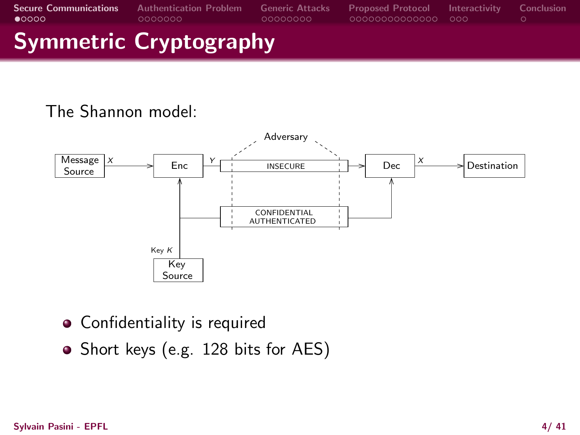# Symmetric Cryptography

### The Shannon model:



- Confidentiality is required
- <span id="page-3-0"></span>• Short keys (e.g. 128 bits for AES)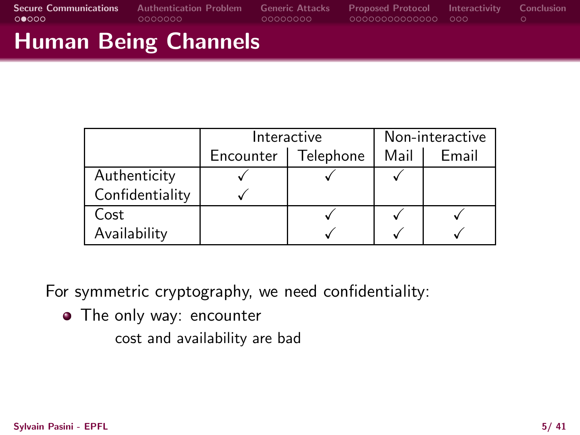# Human Being Channels

|                 | Interactive | Non-interactive |      |       |
|-----------------|-------------|-----------------|------|-------|
|                 | Encounter   | Telephone       | Mail | Email |
| Authenticity    |             |                 |      |       |
| Confidentiality |             |                 |      |       |
| Cost            |             |                 |      |       |
| Availability    |             |                 |      |       |

For symmetric cryptography, we need confidentiality:

• The only way: encounter

cost and availability are bad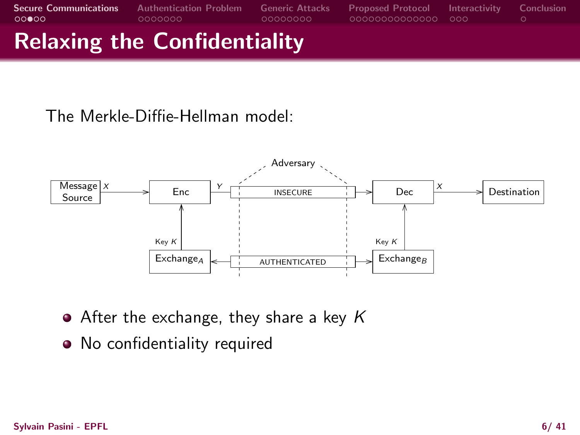# Relaxing the Confidentiality

The Merkle-Diffie-Hellman model:



- $\bullet$  After the exchange, they share a key K
- No confidentiality required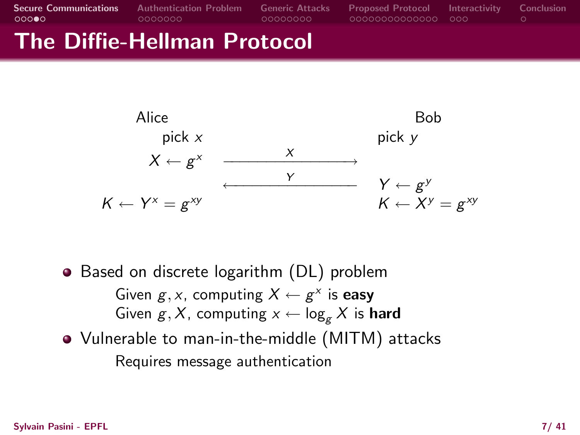### The Diffie-Hellman Protocol



- Based on discrete logarithm (DL) problem Given  $g, x$ , computing  $X \leftarrow g^x$  is easy Given  $g, X$ , computing  $x \leftarrow \log_{g} X$  is hard
- Vulnerable to man-in-the-middle (MITM) attacks Requires message authentication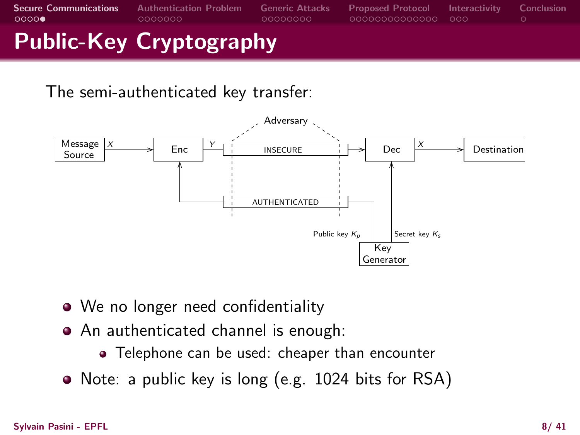# Public-Key Cryptography

The semi-authenticated key transfer:



- We no longer need confidentiality
- An authenticated channel is enough:
	- Telephone can be used: cheaper than encounter
- Note: a public key is long (e.g. 1024 bits for RSA)

#### Sylvain Pasini - EPFL 8/ 41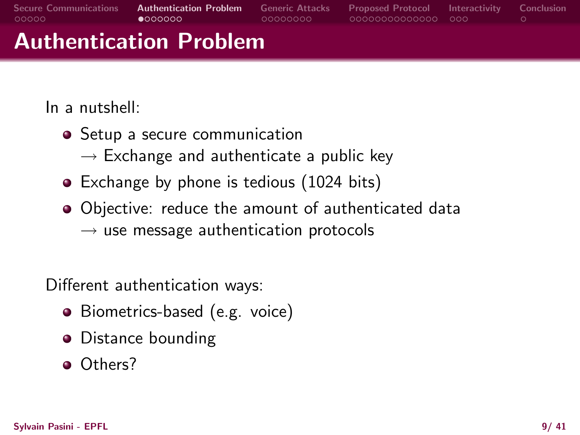| - QOOOO                      | $\bullet$ $000000$<br>Authontication Drohlom | -00000000 | -000000000000000 - 000 -                                   |  |
|------------------------------|----------------------------------------------|-----------|------------------------------------------------------------|--|
| <b>Secure Communications</b> | <b>Authentication Problem</b>                |           | Generic Attacks Proposed Protocol Interactivity Conclusion |  |

# Authentication Problem

In a nutshell:

- Setup a secure communication
	- $\rightarrow$  Exchange and authenticate a public key
- Exchange by phone is tedious (1024 bits)
- Objective: reduce the amount of authenticated data  $\rightarrow$  use message authentication protocols

Different authentication ways:

- Biometrics-based (e.g. voice)
- Distance bounding
- <span id="page-8-0"></span>o Others?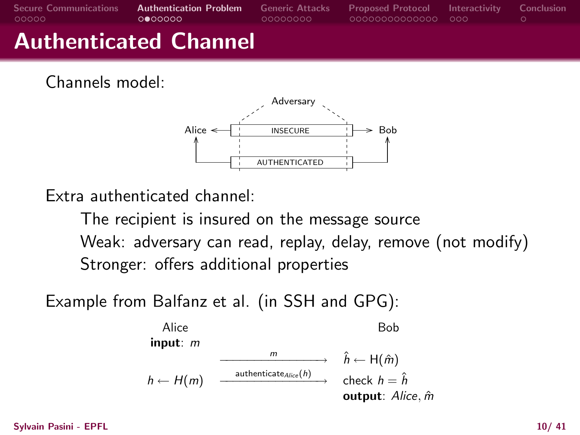| <b>Secure Communications</b><br>- QOOOO | <b>Authentication Problem</b><br>റ●റററററ | <b>Generic Attacks</b><br>- 00000000 | <b>Proposed Protocol Interactivity Conclusion</b><br>00000000000000 000 |  |
|-----------------------------------------|------------------------------------------|--------------------------------------|-------------------------------------------------------------------------|--|
|                                         | <b>Authenticated Channel</b>             |                                      |                                                                         |  |

Channels model:



Extra authenticated channel:

The recipient is insured on the message source Weak: adversary can read, replay, delay, remove (not modify) Stronger: offers additional properties

Example from Balfanz et al. (in SSH and GPG):



Sylvain Pasini - EPFL 10/ 41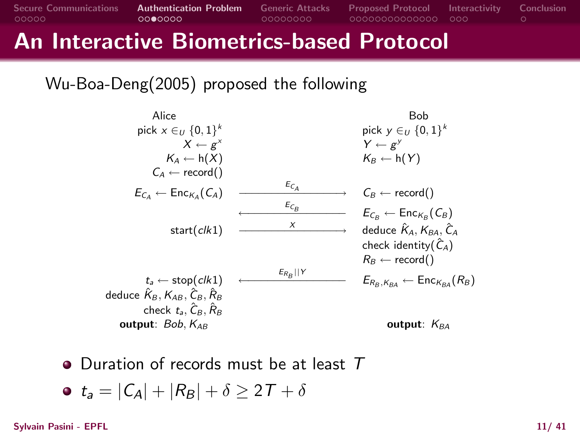# An Interactive Biometrics-based Protocol

Wu-Boa-Deng(2005) proposed the following

| Alice                                                                                          |                                 | Bob                                                                        |
|------------------------------------------------------------------------------------------------|---------------------------------|----------------------------------------------------------------------------|
| pick $x \in U$ {0, 1} <sup>k</sup>                                                             |                                 | pick $y \in U$ {0, 1} <sup>k</sup>                                         |
| $X \leftarrow \varrho^{X}$                                                                     |                                 | $Y \leftarrow \varrho^{y}$                                                 |
| $K_A \leftarrow h(X)$                                                                          |                                 | $K_B \leftarrow h(Y)$                                                      |
| $C_A \leftarrow record()$                                                                      |                                 |                                                                            |
| $E_{C_A} \leftarrow \text{Enc}_{K_A}(C_A)$                                                     | $E_{C_A}$                       | $C_B \leftarrow record()$                                                  |
|                                                                                                | $\varepsilon_{\mathcal{C}_{B}}$ | $E_{\mathcal{C}_B} \leftarrow \mathsf{Enc}_{\mathcal{K}_B}(\mathcal{C}_B)$ |
| start(c/k1)                                                                                    | X                               | deduce $\hat{K}_A$ , $K_{BA}$ , $\hat{C}_A$                                |
|                                                                                                |                                 | check identity( $\hat{C}_A$ )                                              |
|                                                                                                |                                 | $R_B \leftarrow record()$                                                  |
| $t_a \leftarrow \text{stop}(\text{clk1})$                                                      | $E_{R_B}$   Y                   | $E_{R_B, K_{BA}} \leftarrow$ Enc $K_{BA}(R_B)$                             |
| deduce $\hat{\mathcal{K}}_{B}, \mathcal{K}_{AB}, \hat{\mathcal{C}}_{B}, \hat{\mathcal{R}}_{B}$ |                                 |                                                                            |
| check $t_a$ , $C_B$ , $R_B$                                                                    |                                 |                                                                            |
| output: $Bob, K_{AB}$                                                                          |                                 | output: $K_{BA}$                                                           |
|                                                                                                |                                 |                                                                            |

• Duration of records must be at least T

$$
\bullet \ \ t_a = |C_A| + |R_B| + \delta \geq 2T + \delta
$$

Sylvain Pasini - EPFL 11/ 41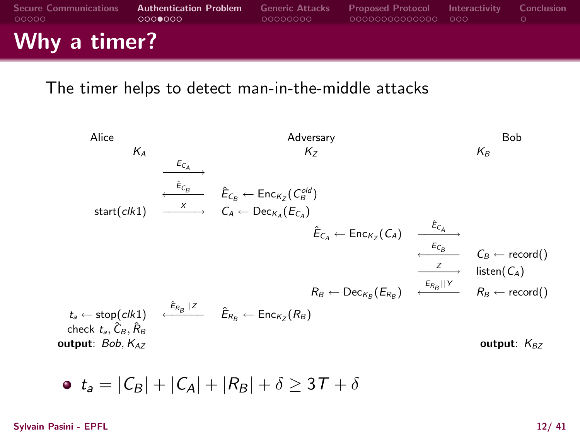| <b>Secure Communications</b><br>- റററററ | <b>Authentication Problem</b> Generic Attacks<br>റററ⊜റററ | - 00000000 | <b>Proposed Protocol Interactivity Conclusion</b><br>-000000000000000 - 000 |  |
|-----------------------------------------|----------------------------------------------------------|------------|-----------------------------------------------------------------------------|--|
| Why a timer?                            |                                                          |            |                                                                             |  |

#### The timer helps to detect man-in-the-middle attacks

Alice Adversary Bob  $K_A$  K<sub>Z</sub> K<sub>B</sub>  $\xrightarrow{E_{C_A}}$  $\overline{\hat{E}_{\mathcal{C}_{B}}}$   $\hat{E}_{\mathcal{C}_{B}}$   $\leftarrow$   $\textsf{Enc}_{\mathcal{K}_{Z}}(\mathcal{C}_{B}^{\textit{old}})$  ${\sf start}(c {\sf l} k {\sf 1}) \quad \xrightarrow{\quad \ \ } \quad C_A \leftarrow {\sf Dec}_{K_A}(E_{C_A})$  $\hat{E}_{\mathcal{C}_{\mathcal{A}}} \leftarrow \mathsf{Enc}_{\mathcal{K}_{Z}}(\mathcal{C}_{\mathcal{A}}) \quad \xrightarrow{\hat{E}_{\mathcal{C}_{\mathcal{A}}}}$  $\stackrel{E_{C_B}}{\longleftarrow} C_B \leftarrow \text{record}()$  $\frac{z}{z}$  listen(C<sub>A</sub>)  $R_B \leftarrow \text{Dec}_{K_B}(E_{R_B})$   $\leftarrow \text{Rec}_{H_B}(\text{Enc}(\text{C})$  $t_a \leftarrow \mathsf{stop}(ck1) \quad \stackrel{\hat{E}_{R_B}||Z}{\longleftarrow} \quad \hat{E}_{R_B} \leftarrow \mathsf{Enc}_{K_Z}(R_B)$ check  $t_a$ ,  $\hat{C}_B$ ,  $\hat{R}_B$ output:  $Bob, K_{AZ}$  output: K<sub>BZ</sub>

$$
\bullet \ \ t_a = |C_B| + |C_A| + |R_B| + \delta \geq 3T + \delta
$$

Sylvain Pasini - EPFL 12/ 41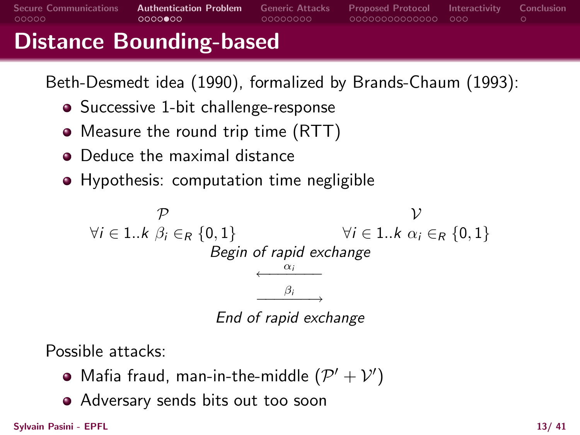### Distance Bounding-based

Beth-Desmedt idea (1990), formalized by Brands-Chaum (1993):

- Successive 1-bit challenge-response
- Measure the round trip time (RTT)
- Deduce the maximal distance
- **•** Hypothesis: computation time negligible

 $\mathcal P$   $\mathcal V$  $\forall i \in 1..k \; \beta_i \in_R \{0,1\}$   $\forall i \in 1..k \; \alpha_i \in_R \{0,1\}$ Begin of rapid exchange  $\leftarrow$   $\frac{\alpha_l}{\cdots}$ αi  $\overrightarrow{\beta_i}$ End of rapid exchange

Possible attacks:

- Mafia fraud, man-in-the-middle  $(\mathcal{P}' + \mathcal{V}')$
- Adversary sends bits out too soon

Sylvain Pasini - EPFL 13/ 41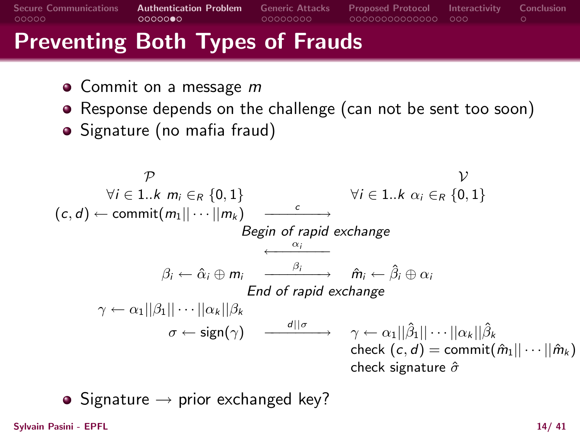# Preventing Both Types of Frauds

- Commit on a message m
- Response depends on the challenge (can not be sent too soon)
- Signature (no mafia fraud)

$$
\varphi
$$
\n
$$
\forall i \in 1..k \ m_i \in_R \{0,1\}
$$
\n
$$
(c,d) \leftarrow \text{commit}(m_1 || \cdots || m_k) \xrightarrow{c} \text{Begin of rapid exchange}
$$
\n
$$
\beta_i \leftarrow \hat{\alpha}_i \oplus m_i \xrightarrow{\beta_i} \hat{m}_i \leftarrow \hat{\beta}_i \oplus \alpha_i
$$
\n
$$
\gamma \leftarrow \alpha_1 ||\beta_1 || \cdots || \alpha_k || \beta_k
$$
\n
$$
\sigma \leftarrow \text{sign}(\gamma) \xrightarrow{d || \sigma} \gamma \leftarrow \alpha_1 ||\hat{\beta}_1 || \cdots || \alpha_k || \hat{\beta}_k
$$
\n
$$
\text{check } (c,d) = \text{commit}(\hat{m}_1 || \cdots || \hat{m}_k)
$$
\n
$$
\text{check signature } \hat{\sigma}
$$

• Signature  $\rightarrow$  prior exchanged key?

Sylvain Pasini - EPFL 14/ 41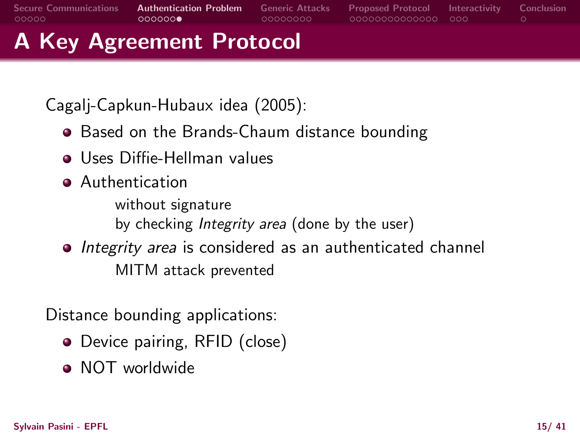[Secure Communications](#page-3-0) [Authentication Problem](#page-8-0) [Generic Attacks](#page-15-0) [Proposed Protocol](#page-23-0) [Interactivity](#page-37-0) [Conclusion](#page-40-0) A Key Agreement Protocol

Cagalj-Capkun-Hubaux idea (2005):

- Based on the Brands-Chaum distance bounding
- Uses Diffie-Hellman values
- Authentication

without signature by checking Integrity area (done by the user)

• Integrity area is considered as an authenticated channel MITM attack prevented

Distance bounding applications:

- Device pairing, RFID (close)
- NOT worldwide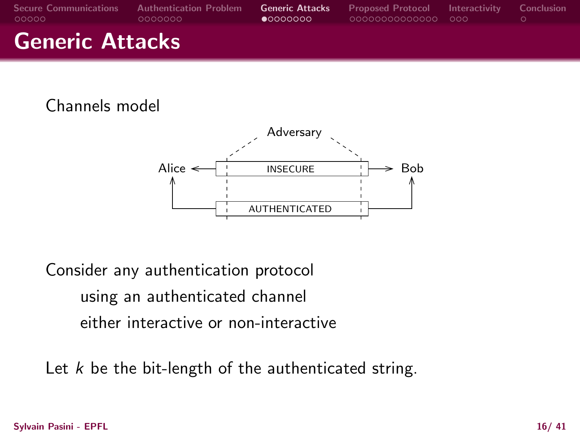| <b>Secure Communications</b><br>LOOOOO | <b>Authentication Problem</b><br>.0000000 | <b>Generic Attacks</b><br>$\bullet$ 0000000 | <b>Proposed Protocol Interactivity</b><br>00000000000000 000 | – Conclusion |
|----------------------------------------|-------------------------------------------|---------------------------------------------|--------------------------------------------------------------|--------------|
| <b>Generic Attacks</b>                 |                                           |                                             |                                                              |              |

#### Channels model



Consider any authentication protocol using an authenticated channel either interactive or non-interactive

<span id="page-15-0"></span>Let  $k$  be the bit-length of the authenticated string.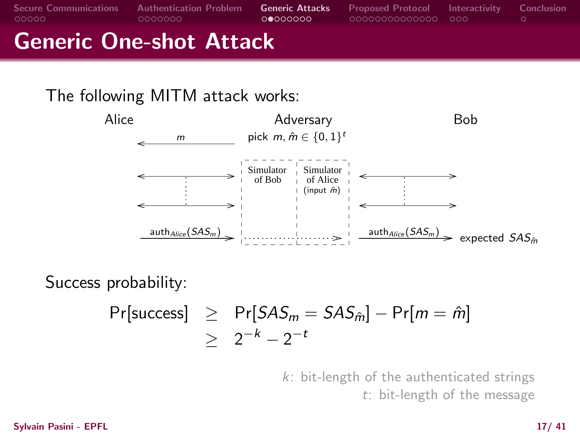[Secure Communications](#page-3-0) [Authentication Problem](#page-8-0) [Generic Attacks](#page-15-0) [Proposed Protocol](#page-23-0) [Interactivity](#page-37-0) [Conclusion](#page-40-0) Generic One-shot Attack

# The following MITM attack works:



Success probability:

$$
Pr[success] \ge Pr[ SAS_m = SAS_{\hat{m}}] - Pr[m = \hat{m}]
$$
  
 
$$
\ge 2^{-k} - 2^{-t}
$$

k: bit-length of the authenticated strings t: bit-length of the message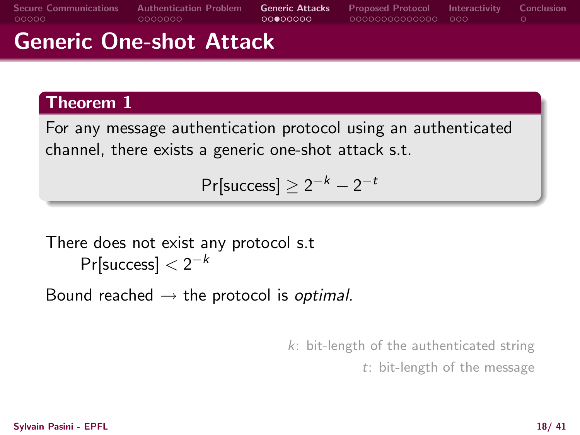[Secure Communications](#page-3-0) [Authentication Problem](#page-8-0) **[Generic Attacks](#page-15-0)** [Proposed Protocol](#page-23-0) [Interactivity](#page-37-0) [Conclusion](#page-40-0)<br>0000000 00000000 00000000 0000000000 000 0

# Generic One-shot Attack

#### Theorem 1

For any message authentication protocol using an authenticated channel, there exists a generic one-shot attack s.t.

 $\Pr[\text{success}] \geq 2^{-k} - 2^{-t}$ 

### There does not exist any protocol s.t  $Pr[success] < 2^{-k}$

Bound reached  $\rightarrow$  the protocol is *optimal*.

k: bit-length of the authenticated string

t: bit-length of the message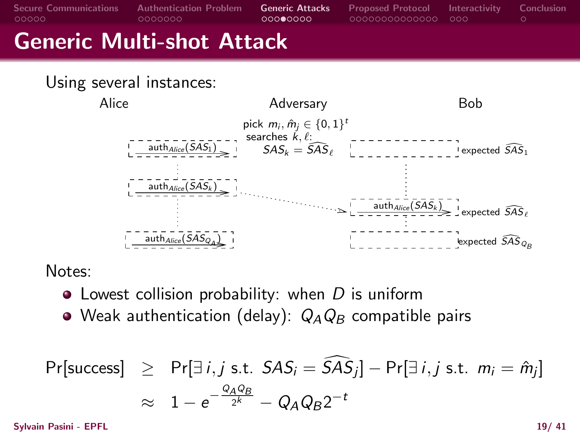[Secure Communications](#page-3-0) [Authentication Problem](#page-8-0) **[Generic Attacks](#page-15-0)** [Proposed Protocol](#page-23-0) [Interactivity](#page-37-0) [Conclusion](#page-40-0)<br>0000000 00000000 00000000 000000000 000 000 Generic Multi-shot Attack

Using several instances:



Notes:

- $\bullet$  Lowest collision probability: when D is uniform
- Weak authentication (delay):  $Q_A Q_B$  compatible pairs

$$
\begin{array}{rcl}\n\Pr[\text{success}] & \geq & \Pr[\exists i, j \text{ s.t. } SAS_i = \widehat{SAS}_j] - \Pr[\exists i, j \text{ s.t. } m_i = \hat{m}_j] \\
& \approx & 1 - e^{-\frac{Q_A Q_B}{2^k}} - Q_A Q_B 2^{-t}\n\end{array}
$$

Sylvain Pasini - EPFL 19/ 41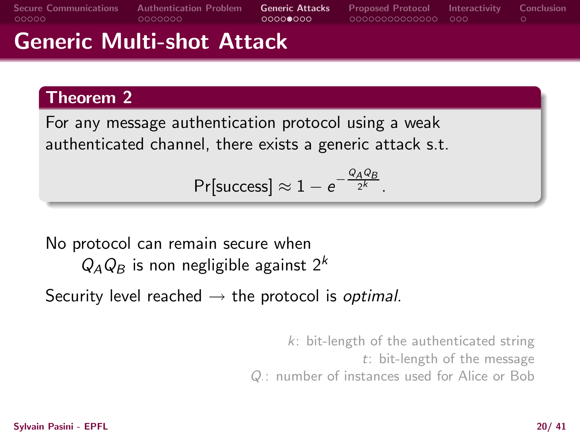# Generic Multi-shot Attack

### Theorem 2

For any message authentication protocol using a weak authenticated channel, there exists a generic attack s.t.

$$
\Pr[\text{success}] \approx 1 - e^{-\frac{Q_A Q_B}{2^k}}.
$$

No protocol can remain secure when  $Q_A Q_B$  is non negligible against  $2^k$ 

Security level reached  $\rightarrow$  the protocol is optimal.

k: bit-length of the authenticated string t: bit-length of the message Q·: number of instances used for Alice or Bob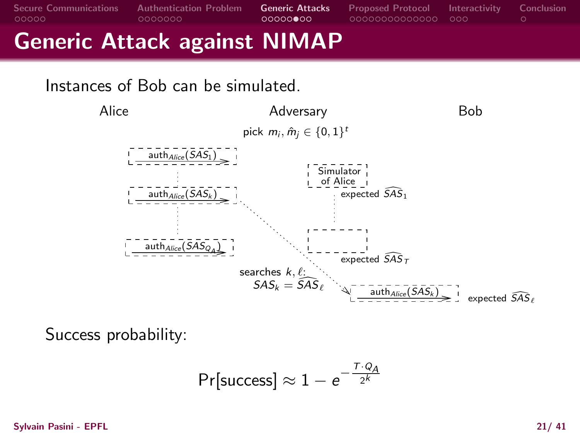[Secure Communications](#page-3-0) [Authentication Problem](#page-8-0) [Generic Attacks](#page-15-0) [Proposed Protocol](#page-23-0) [Interactivity](#page-37-0) [Conclusion](#page-40-0) Generic Attack against NIMAP

Instances of Bob can be simulated.



Success probability:

$$
\Pr[\text{success}] \approx 1 - e^{-\frac{T \cdot Q_A}{2^k}}
$$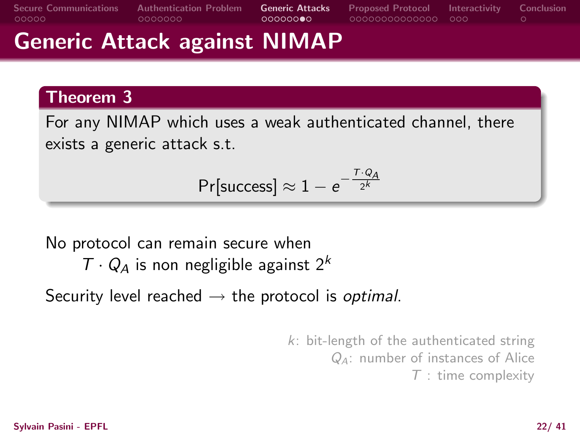# Generic Attack against NIMAP

### Theorem 3

For any NIMAP which uses a weak authenticated channel, there exists a generic attack s.t.

$$
\Pr[\text{success}] \approx 1 - e^{-\frac{T \cdot Q_A}{2^k}}
$$

No protocol can remain secure when

 $T \cdot Q_A$  is non negligible against  $2^k$ 

Security level reached  $\rightarrow$  the protocol is optimal.

k: bit-length of the authenticated string QA: number of instances of Alice  $T$  : time complexity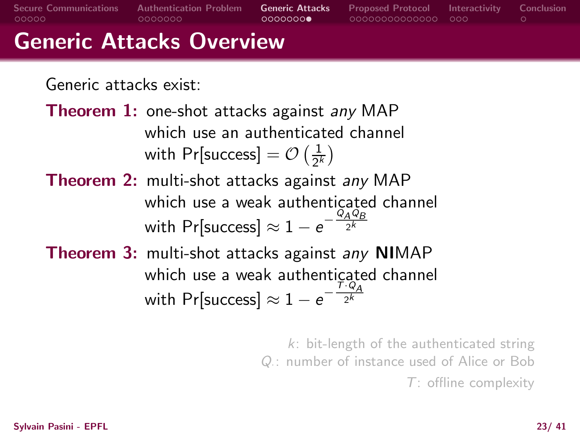[Secure Communications](#page-3-0) [Authentication Problem](#page-8-0) [Generic Attacks](#page-15-0) [Proposed Protocol](#page-23-0) [Interactivity](#page-37-0) [Conclusion](#page-40-0) Generic Attacks Overview

Generic attacks exist:

Theorem 1: one-shot attacks against any MAP which use an authenticated channel with Pr[success]  $=$   $\mathcal{O}\left(\frac{1}{2^{k}}\right)$  $\frac{1}{2^k}$ 

Theorem 2: multi-shot attacks against any MAP which use a weak authenticated channel with Pr[success]  $\approx 1-e^{-\frac{Q_{A}Q_{B}}{2^{k}}}$ 

Theorem 3: multi-shot attacks against any NIMAP which use a weak authenticated channel with Pr[success]  $\approx 1 - e^{-\frac{T \cdot Q_{\cal A}}{2^k}}$ 

> k: bit-length of the authenticated string Q: number of instance used of Alice or Bob T: offline complexity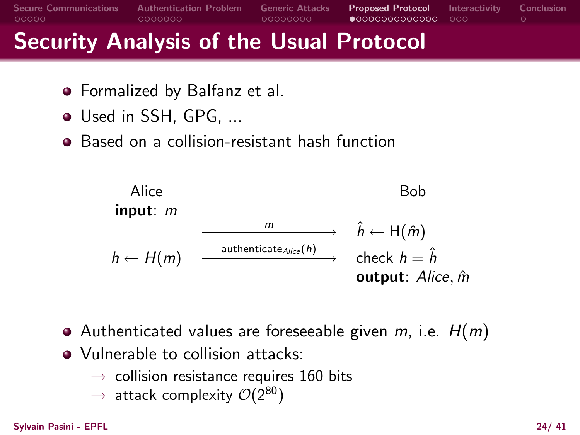

# Security Analysis of the Usual Protocol

- Formalized by Balfanz et al.
- Used in SSH, GPG, ...
- Based on a collision-resistant hash function



- Authenticated values are foreseeable given  $m$ , i.e.  $H(m)$
- <span id="page-23-0"></span>• Vulnerable to collision attacks:
	- $\rightarrow$  collision resistance requires 160 bits
	- $\rightarrow$  attack complexity  $\mathcal{O}(2^{80})$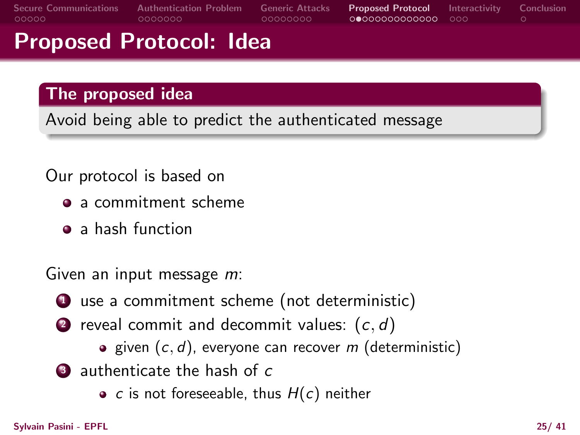# Proposed Protocol: Idea

### The proposed idea

Avoid being able to predict the authenticated message

### Our protocol is based on

- a commitment scheme
- a hash function

Given an input message m:

- **1** use a commitment scheme (not deterministic)
- **2** reveal commit and decommit values:  $(c, d)$ 
	- **a** given  $(c, d)$ , everyone can recover m (deterministic)
- **3** authenticate the hash of c
	- c is not foreseeable, thus  $H(c)$  neither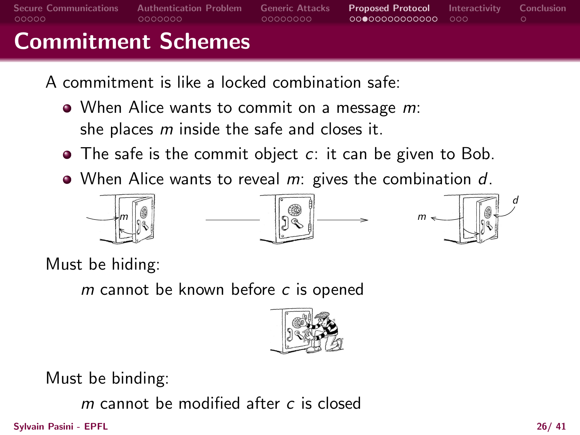# Commitment Schemes

- A commitment is like a locked combination safe:
	- When Alice wants to commit on a message m: she places  $m$  inside the safe and closes it.
	- $\bullet$  The safe is the commit object  $c$ : it can be given to Bob.
	- $\bullet$  When Alice wants to reveal m: gives the combination d.





Must be hiding:

 $m$  cannot be known before  $c$  is opened



Must be binding:

 $m$  cannot be modified after  $c$  is closed

Sylvain Pasini - EPFL 26/ 41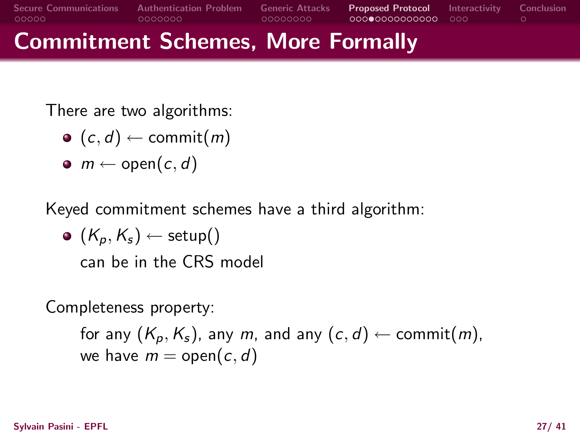Commitment Schemes, More Formally

There are two algorithms:

- $\bullet$   $(c, d) \leftarrow$  commit $(m)$
- $\bullet$  m  $\leftarrow$  open(c, d)

Keyed commitment schemes have a third algorithm:

 $\bullet$   $(K_n, K_s) \leftarrow$  setup() can be in the CRS model

Completeness property:

for any  $(K_p, K_s)$ , any m, and any  $(c, d) \leftarrow \text{commit}(m)$ , we have  $m =$  open(c, d)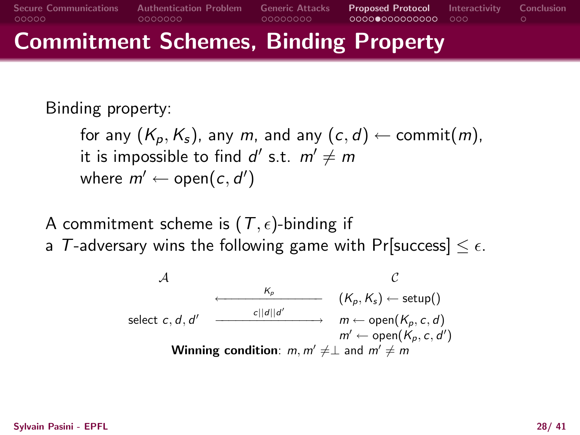# Commitment Schemes, Binding Property

Binding property:

for any  $(K_p, K_s)$ , any m, and any  $(c, d) \leftarrow$  commit $(m)$ , it is impossible to find  $d'$  s.t.  $m' \neq m$ where  $m' \leftarrow \mathsf{open}(c, d')$ 

- A commitment scheme is  $(T, \epsilon)$ -binding if
- a T-adversary wins the following game with Pr[success]  $\leq \epsilon$ .

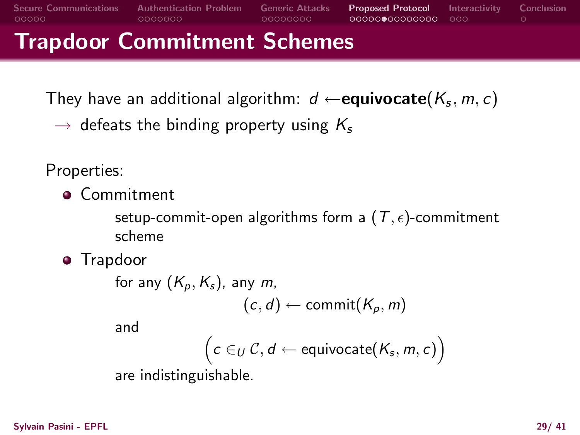# Trapdoor Commitment Schemes

They have an additional algorithm:  $\,d \leftarrow \! \textbf{equiv}(\mathcal{K}_{\pmb{s}},m,c)$ 

 $\rightarrow$  defeats the binding property using  $K_s$ 

Properties:

**• Commitment** 

setup-commit-open algorithms form a  $(T, \epsilon)$ -commitment scheme

**•** Trapdoor

```
for any (K_p, K_s), any m,
                      (c, d) \leftarrow commit(K_p, m)
```
and

$$
\Big(c\in_{U}\mathcal{C},d\leftarrow \mathsf{equivivocate}(K_{s},m,c)\Big)
$$

are indistinguishable.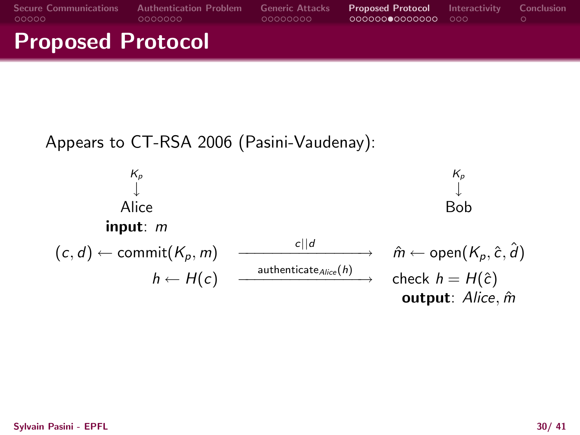

#### Appears to CT-RSA 2006 (Pasini-Vaudenay):

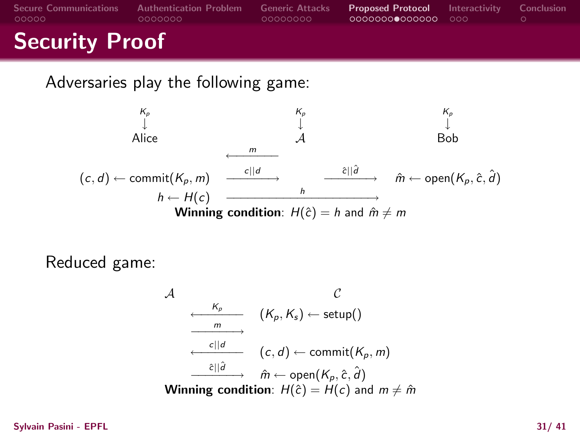| <b>Secure Communications</b><br>LOOOOO | <b>Authentication Problem</b><br>- 0000000 | <b>Generic Attacks</b><br>-00000000 | <b>Proposed Protocol</b> Interactivity Conclusion<br>00000000000000 000 |  |
|----------------------------------------|--------------------------------------------|-------------------------------------|-------------------------------------------------------------------------|--|
| <b>Security Proof</b>                  |                                            |                                     |                                                                         |  |

Adversaries play the following game:

$$
\begin{array}{ccc}\n\downarrow & K_{\rho} & K_{\rho} & K_{\rho} \\
\downarrow & \downarrow & \downarrow & \downarrow \\
\downarrow & \downarrow & \downarrow & \downarrow \\
(c, d) \leftarrow \text{commit}(K_{\rho}, m) & \xrightarrow{c||d} & \xrightarrow{c||d} & \hat{m} \leftarrow \text{open}(K_{\rho}, \hat{c}, \hat{d}) \\
&\downarrow & \downarrow & \downarrow \\
M = \text{mining condition: } H(\hat{c}) = h \text{ and } \hat{m} \neq m\n\end{array}
$$

Reduced game:

$$
\begin{array}{ccc}\n\mathcal{A} & \mathcal{C} \\
\hline\n\frac{K_{p}}{m} & (K_{p}, K_{s}) \leftarrow \text{setup} \\
\hline\n\frac{c||d}{m} & (c, d) \leftarrow \text{commit}(K_{p}, m) \\
\hline\n\frac{c||d}{m} & \hat{m} \leftarrow \text{open}(K_{p}, \hat{c}, \hat{d}) \\
\hline\n\text{Winning condition: } H(\hat{c}) = H(c) \text{ and } m \neq \hat{m}\n\end{array}
$$

Sylvain Pasini - EPFL 31/ 41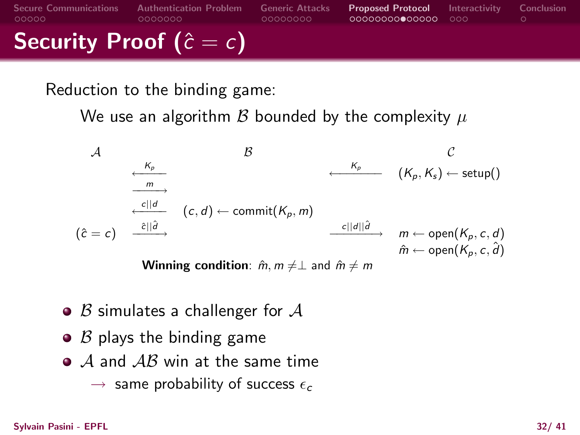[Secure Communications](#page-3-0) [Authentication Problem](#page-8-0) [Generic Attacks](#page-15-0) [Proposed Protocol](#page-23-0) [Interactivity](#page-37-0) [Conclusion](#page-40-0) Security Proof ( $\hat{c} = c$ )

Reduction to the binding game:

We use an algorithm B bounded by the complexity  $\mu$ 

A B C <sup>K</sup><sup>p</sup> ←−−−− <sup>K</sup><sup>p</sup> ←−−−−−− (Kp,K<sup>s</sup> ) <sup>←</sup> setup() <sup>m</sup> −−−−→ <sup>c</sup>||<sup>d</sup> ←−−−− (c, <sup>d</sup>) <sup>←</sup> commit(Kp, <sup>m</sup>) (ˆc = c) cˆ||dˆ −−−−→ c||d||dˆ −−−−−−→ m ← open(Kp, c, d) mˆ ← open(Kp, c, dˆ)

**Winning condition**:  $\dot{m}, m \neq \bot$  and  $\ddot{m} \neq m$ 

- $\bullet$  B simulates a challenger for A
- $\bullet$   $\beta$  plays the binding game
- $\bullet$  A and  $AB$  win at the same time
	- $\rightarrow$  same probability of success  $\epsilon_c$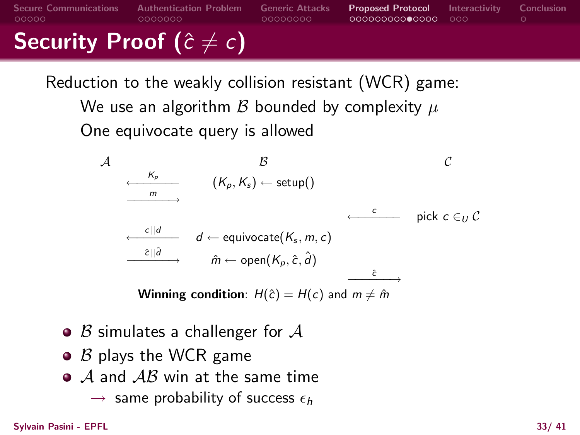# Security Proof ( $\hat{c} \neq c$ )

Reduction to the weakly collision resistant (WCR) game:

We use an algorithm  $\beta$  bounded by complexity  $\mu$ One equivocate query is allowed

$$
\begin{array}{ccc}\n\mathcal{A} & \mathcal{B} & \mathcal{C} \\
\hline\n\frac{K_{p}}{m} & (K_{p}, K_{s}) \leftarrow \text{setup} & \\
\hline\n\frac{c||d}{m} & d \leftarrow \text{equivocate}(K_{s}, m, c) & \text{pick } c \in U \\
\hline\n\frac{\partial \left\|\hat{d}\right\|}{m} & \hat{m} \leftarrow \text{open}(K_{p}, \hat{c}, \hat{d}) & \\
\hline\n\end{array}
$$

**Winning condition**:  $H(\hat{c}) = H(c)$  and  $m \neq \hat{m}$ 

- $\bullet$  B simulates a challenger for A
- $\bullet$   $\beta$  plays the WCR game
- $\bullet$  A and  $AB$  win at the same time
	- $\rightarrow$  same probability of success  $\epsilon_h$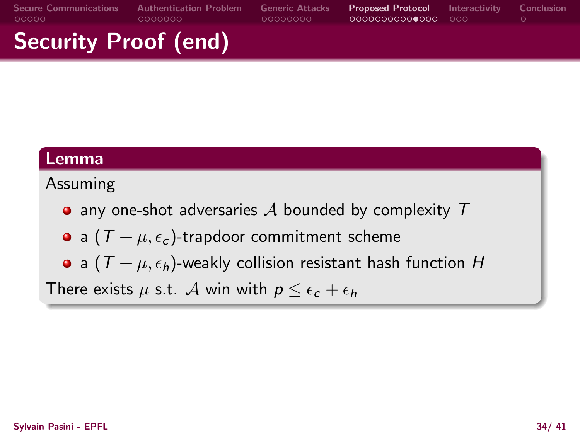# Security Proof (end)

#### Lemma

#### Assuming

- $\bullet$  any one-shot adversaries A bounded by complexity T
- a  $(T + \mu, \epsilon_c)$ -trapdoor commitment scheme
- a  $(T + \mu, \epsilon_h)$ -weakly collision resistant hash function H

There exists  $\mu$  s.t. A win with  $p \leq \epsilon_c + \epsilon_h$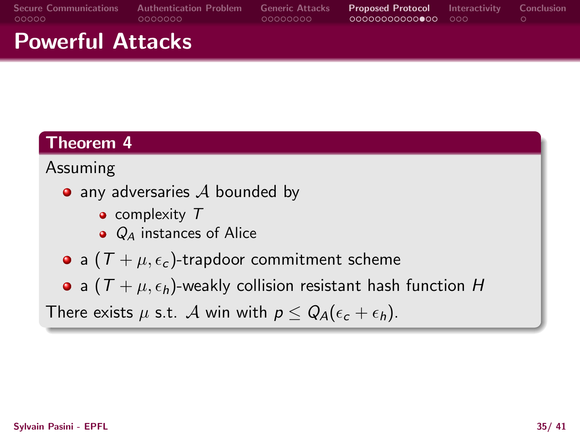# Powerful Attacks

### Theorem 4

#### Assuming

- $\bullet$  any adversaries  $\mathcal A$  bounded by
	- $\bullet$  complexity  $T$
	- $\bullet$   $Q_4$  instances of Alice
- a  $(T + \mu, \epsilon_c)$ -trapdoor commitment scheme
- a  $(T + \mu, \epsilon_h)$ -weakly collision resistant hash function H

There exists  $\mu$  s.t. A win with  $p \leq Q_A(\epsilon_c + \epsilon_h)$ .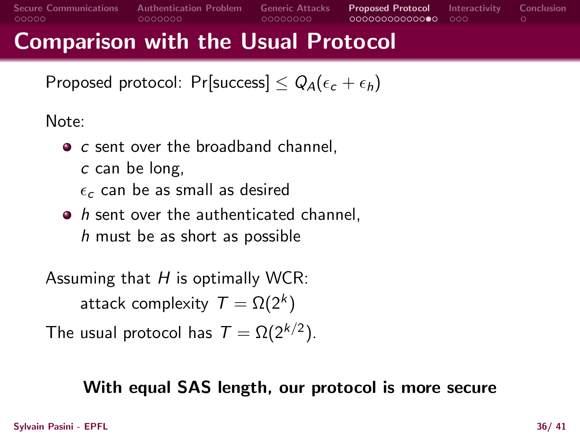# Comparison with the Usual Protocol

Proposed protocol: Pr[success]  $\leq Q_A(\epsilon_c+\epsilon_h)$ 

Note:

- $\bullet$  c sent over the broadband channel.
	- c can be long,
	- $\epsilon_c$  can be as small as desired
- $\bullet$  h sent over the authenticated channel,  $h$  must be as short as possible

Assuming that  $H$  is optimally WCR:

attack complexity  $\mathcal{T} = \Omega(2^k)$ 

The usual protocol has  $\mathcal{T} = \Omega(2^{k/2})$ .

### With equal SAS length, our protocol is more secure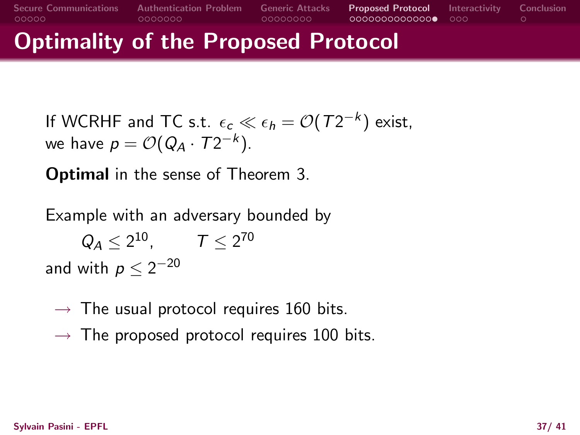### Optimality of the Proposed Protocol

If WCRHF and TC s.t.  $\epsilon_c \ll \epsilon_h = \mathcal{O}(T2^{-k})$  exist, we have  $p = \mathcal{O}(Q_A \cdot T2^{-k}).$ 

Optimal in the sense of Theorem 3.

Example with an adversary bounded by  $Q_A \leq 2^{10}$ ,  $T \leq 2^{70}$ 

and with  $\rho \leq 2^{-20}$ 

- $\rightarrow$  The usual protocol requires 160 bits.
- $\rightarrow$  The proposed protocol requires 100 bits.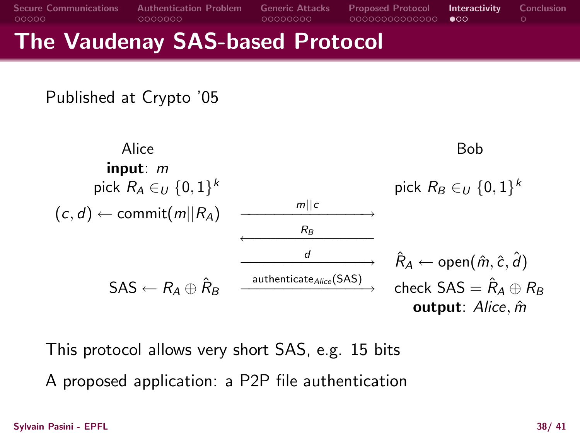### The Vaudenay SAS-based Protocol

Published at Crypto '05

Alice Bob input: m pick  $R_A \in U$  {0, 1}<sup>k</sup> k pick  $R_B \in U$   $\{0,1\}^k$  $(c, d) \leftarrow$  commit $(m||R_A)$  $m||c$ ——————————→<br>→  $\leftarrow$   $\leftarrow$   $\leftarrow$   $\leftarrow$  $R_B$  $\stackrel{d}{\longrightarrow}\stackrel{R}{\longrightarrow}\stackrel{R}{\longrightarrow}$  $\hat{R}_A \leftarrow$  open $(\hat{m}, \hat{c}, \hat{d})$  $\mathsf{SAS} \leftarrow R_\mathcal{A} \oplus \hat{R}_\mathcal{B}$  $a$ uthenticate $_{Alice}$ (SAS)  $\longrightarrow$  check SAS  $=\hat{R}_A \oplus R_B$ output: Alice, m

This protocol allows very short SAS, e.g. 15 bits

<span id="page-37-0"></span>A proposed application: a P2P file authentication

Sylvain Pasini - EPFL 38/ 41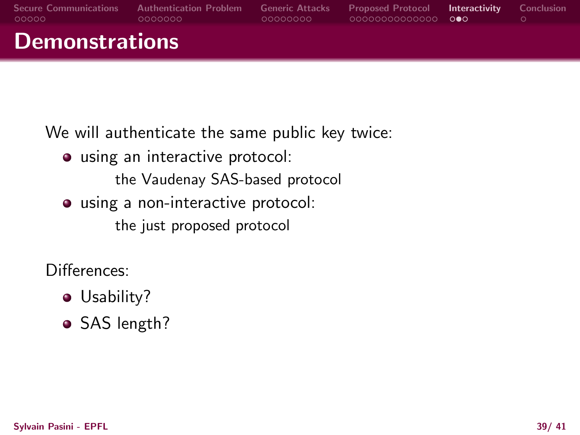| <b>Secure Communications</b><br>LOOOOO | <b>Authentication Problem</b><br>.0000000 | <b>Generic Attacks</b><br>-00000000 | Proposed Protocol Interactivity<br>00000000000000 000 | Conclusion |
|----------------------------------------|-------------------------------------------|-------------------------------------|-------------------------------------------------------|------------|
| <b>Demonstrations</b>                  |                                           |                                     |                                                       |            |

We will authenticate the same public key twice:

using an interactive protocol:

the Vaudenay SAS-based protocol

using a non-interactive protocol:

the just proposed protocol

Differences:

- Usability?
- SAS length?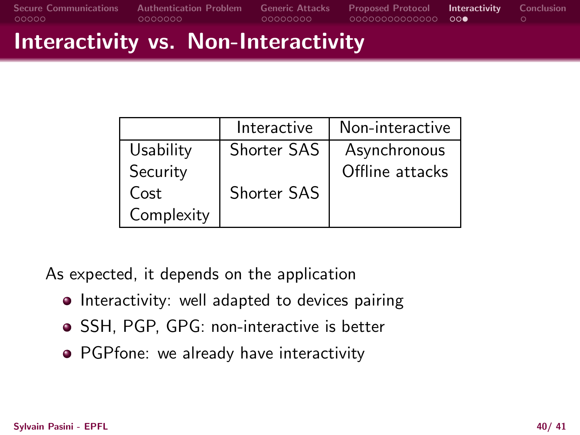# Interactivity vs. Non-Interactivity

|            | Interactive        | Non-interactive |
|------------|--------------------|-----------------|
| Usability  | <b>Shorter SAS</b> | Asynchronous    |
| Security   |                    | Offline attacks |
| Cost       | <b>Shorter SAS</b> |                 |
| Complexity |                    |                 |

As expected, it depends on the application

- Interactivity: well adapted to devices pairing
- SSH, PGP, GPG: non-interactive is better
- PGPfone: we already have interactivity